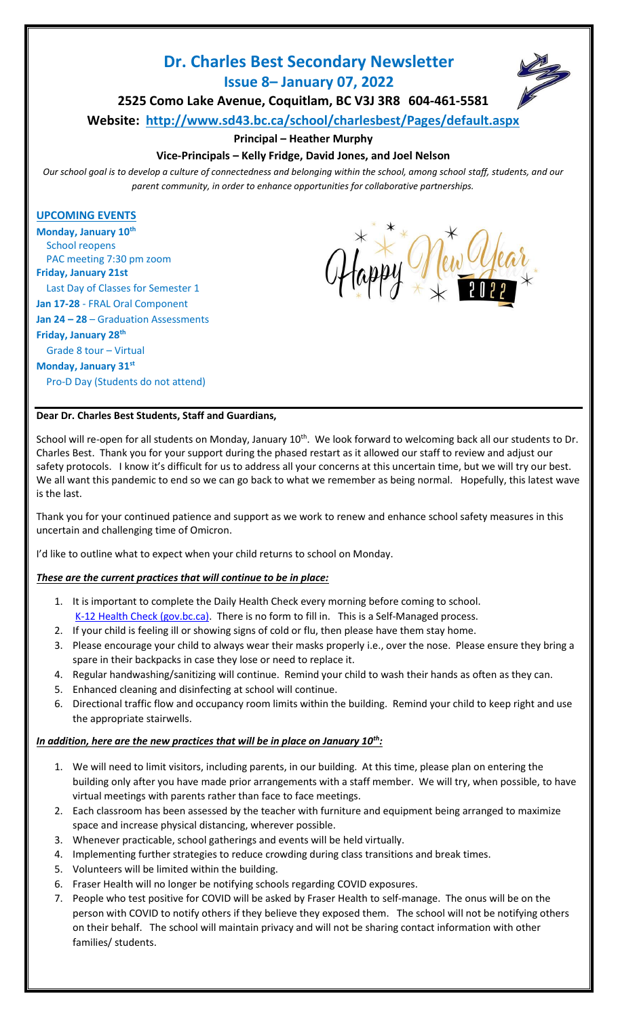# **Dr. Charles Best Secondary Newsletter**

**Issue 8– January 07, 2022**

**2525 Como Lake Avenue, Coquitlam, BC V3J 3R8 604-461-5581**

**Website: <http://www.sd43.bc.ca/school/charlesbest/Pages/default.aspx>**

# **Principal – Heather Murphy**

# **Vice-Principals – Kelly Fridge, David Jones, and Joel Nelson**

*Our school goal is to develop a culture of connectedness and belonging within the school, among school staff, students, and our parent community, in order to enhance opportunities for collaborative partnerships.*

## **UPCOMING EVENTS**

**Monday, January 10th** School reopens PAC meeting 7:30 pm zoom **Friday, January 21st**  Last Day of Classes for Semester 1 **Jan 17-28** - FRAL Oral Component **Jan 24 – 28** – Graduation Assessments **Friday, January 28th** Grade 8 tour – Virtual **Monday, January 31st** Pro-D Day (Students do not attend)



## **Dear Dr. Charles Best Students, Staff and Guardians,**

School will re-open for all students on Monday, January 10<sup>th</sup>. We look forward to welcoming back all our students to Dr. Charles Best. Thank you for your support during the phased restart as it allowed our staff to review and adjust our safety protocols. I know it's difficult for us to address all your concerns at this uncertain time, but we will try our best. We all want this pandemic to end so we can go back to what we remember as being normal. Hopefully, this latest wave is the last.

Thank you for your continued patience and support as we work to renew and enhance school safety measures in this uncertain and challenging time of Omicron.

I'd like to outline what to expect when your child returns to school on Monday.

## *These are the current practices that will continue to be in place:*

- 1. It is important to complete the Daily Health Check every morning before coming to school. [K-12 Health Check \(gov.bc.ca\).](https://www.k12dailycheck.gov.bc.ca/healthcheck?execution=e1s1) There is no form to fill in. This is a Self-Managed process.
- 2. If your child is feeling ill or showing signs of cold or flu, then please have them stay home.
- 3. Please encourage your child to always wear their masks properly i.e., over the nose. Please ensure they bring a spare in their backpacks in case they lose or need to replace it.
- 4. Regular handwashing/sanitizing will continue. Remind your child to wash their hands as often as they can.
- 5. Enhanced cleaning and disinfecting at school will continue.
- 6. Directional traffic flow and occupancy room limits within the building. Remind your child to keep right and use the appropriate stairwells.

## *In addition, here are the new practices that will be in place on January 10th:*

- 1. We will need to limit visitors, including parents, in our building. At this time, please plan on entering the building only after you have made prior arrangements with a staff member. We will try, when possible, to have virtual meetings with parents rather than face to face meetings.
- 2. Each classroom has been assessed by the teacher with furniture and equipment being arranged to maximize space and increase physical distancing, wherever possible.
- 3. Whenever practicable, school gatherings and events will be held virtually.
- 4. Implementing further strategies to reduce crowding during class transitions and break times.
- 5. Volunteers will be limited within the building.
- 6. Fraser Health will no longer be notifying schools regarding COVID exposures.
- 7. People who test positive for COVID will be asked by Fraser Health to self-manage. The onus will be on the person with COVID to notify others if they believe they exposed them. The school will not be notifying others on their behalf. The school will maintain privacy and will not be sharing contact information with other families/ students.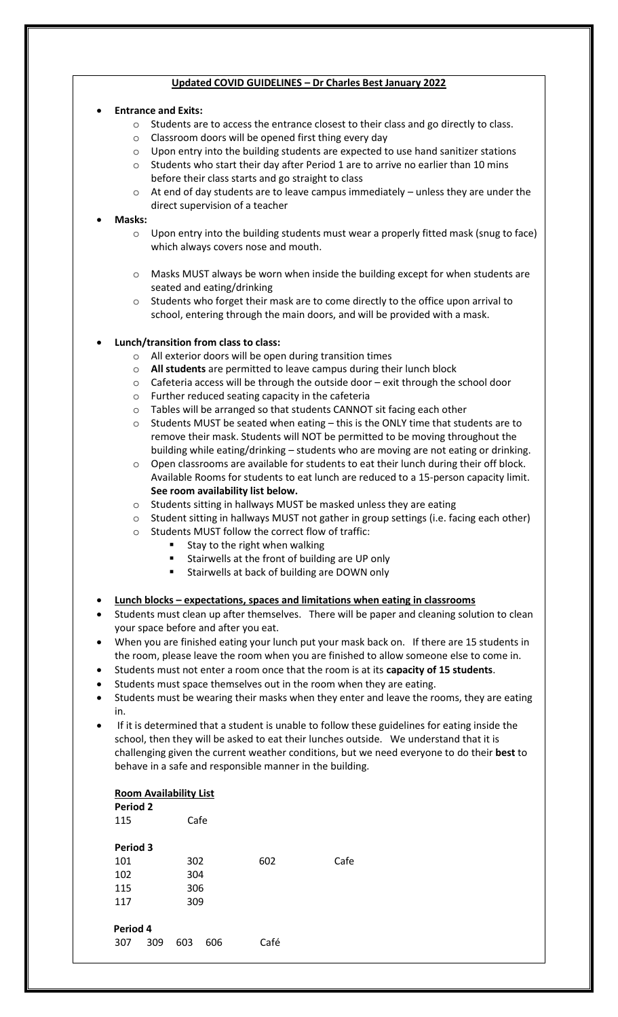#### **Updated COVID GUIDELINES – Dr Charles Best January 2022**

#### • **Entrance and Exits:**

- o Students are to access the entrance closest to their class and go directly to class.
- o Classroom doors will be opened first thing every day
- o Upon entry into the building students are expected to use hand sanitizer stations
- $\circ$  Students who start their day after Period 1 are to arrive no earlier than 10 mins before their class starts and go straight to class
- $\circ$  At end of day students are to leave campus immediately unless they are under the direct supervision of a teacher

#### • **Masks:**

- o Upon entry into the building students must wear a properly fitted mask (snug to face) which always covers nose and mouth.
- o Masks MUST always be worn when inside the building except for when students are seated and eating/drinking
- $\circ$  Students who forget their mask are to come directly to the office upon arrival to school, entering through the main doors, and will be provided with a mask.

#### • **Lunch/transition from class to class:**

- o All exterior doors will be open during transition times
- o **All students** are permitted to leave campus during their lunch block
- $\circ$  Cafeteria access will be through the outside door exit through the school door
- o Further reduced seating capacity in the cafeteria
- o Tables will be arranged so that students CANNOT sit facing each other
- $\circ$  Students MUST be seated when eating this is the ONLY time that students are to remove their mask. Students will NOT be permitted to be moving throughout the building while eating/drinking – students who are moving are not eating or drinking.
- $\circ$  Open classrooms are available for students to eat their lunch during their off block. Available Rooms for students to eat lunch are reduced to a 15-person capacity limit. **See room availability list below.**
- o Students sitting in hallways MUST be masked unless they are eating
- o Student sitting in hallways MUST not gather in group settings (i.e. facing each other)
- o Students MUST follow the correct flow of traffic:
	- Stay to the right when walking
	- Stairwells at the front of building are UP only
	- Stairwells at back of building are DOWN only

#### • **Lunch blocks – expectations, spaces and limitations when eating in classrooms**

- Students must clean up after themselves. There will be paper and cleaning solution to clean your space before and after you eat.
- When you are finished eating your lunch put your mask back on. If there are 15 students in the room, please leave the room when you are finished to allow someone else to come in.
- Students must not enter a room once that the room is at its **capacity of 15 students**.
- Students must space themselves out in the room when they are eating.
- Students must be wearing their masks when they enter and leave the rooms, they are eating in.
- If it is determined that a student is unable to follow these guidelines for eating inside the school, then they will be asked to eat their lunches outside. We understand that it is challenging given the current weather conditions, but we need everyone to do their **best** to behave in a safe and responsible manner in the building.

## **Room Availability List**

| <b>Period 2</b><br>115 |     | Cafe |     |      |      |
|------------------------|-----|------|-----|------|------|
| Period 3               |     |      |     |      |      |
| 101                    |     | 302  |     | 602  | Cafe |
| 102                    |     | 304  |     |      |      |
| 115                    |     | 306  |     |      |      |
| 117                    |     | 309  |     |      |      |
|                        |     |      |     |      |      |
| Period 4               |     |      |     |      |      |
| 307                    | 309 | 603  | 606 | Café |      |
|                        |     |      |     |      |      |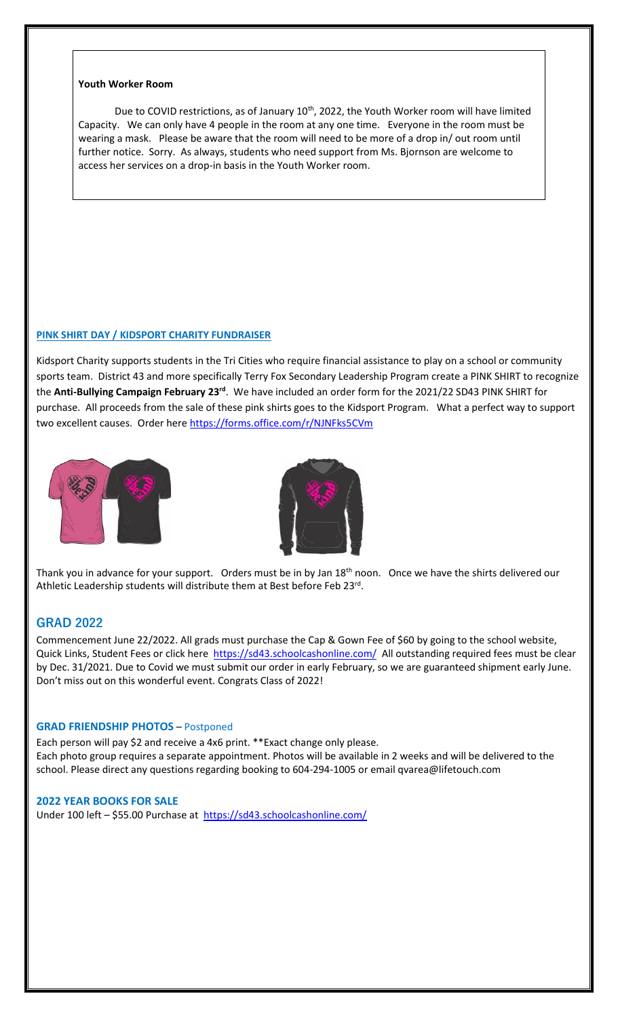#### **Youth Worker Room**

Due to COVID restrictions, as of January 10<sup>th</sup>, 2022, the Youth Worker room will have limited Capacity. We can only have 4 people in the room at any one time. Everyone in the room must be wearing a mask. Please be aware that the room will need to be more of a drop in/ out room until further notice. Sorry. As always, students who need support from Ms. Bjornson are welcome to access her services on a drop-in basis in the Youth Worker room.

#### **PINK SHIRT DAY / KIDSPORT CHARITY FUNDRAISER**

Kidsport Charity supports students in the Tri Cities who require financial assistance to play on a school or community sports team. District 43 and more specifically Terry Fox Secondary Leadership Program create a PINK SHIRT to recognize the **Anti-Bullying Campaign February 23rd** . We have included an order form for the 2021/22 SD43 PINK SHIRT for purchase. All proceeds from the sale of these pink shirts goes to the Kidsport Program. What a perfect way to support two excellent causes. Order here<https://forms.office.com/r/NJNFks5CVm>





Thank you in advance for your support. Orders must be in by Jan  $18<sup>th</sup>$  noon. Once we have the shirts delivered our Athletic Leadership students will distribute them at Best before Feb 23<sup>rd</sup>.

## **GRAD 2022**

Commencement June 22/2022. All grads must purchase the Cap & Gown Fee of \$60 by going to the school website, Quick Links, Student Fees or click here <https://sd43.schoolcashonline.com/> All outstanding required fees must be clear by Dec. 31/2021. Due to Covid we must submit our order in early February, so we are guaranteed shipment early June. Don't miss out on this wonderful event. Congrats Class of 2022!

#### **GRAD FRIENDSHIP PHOTOS** – Postponed

Each person will pay \$2 and receive a 4x6 print. \*\*Exact change only please. Each photo group requires a separate appointment. Photos will be available in 2 weeks and will be delivered to the school. Please direct any questions regarding booking to 604-294-1005 or email qvarea@lifetouch.com

#### **2022 YEAR BOOKS FOR SALE**

Under 100 left – \$55.00 Purchase at<https://sd43.schoolcashonline.com/>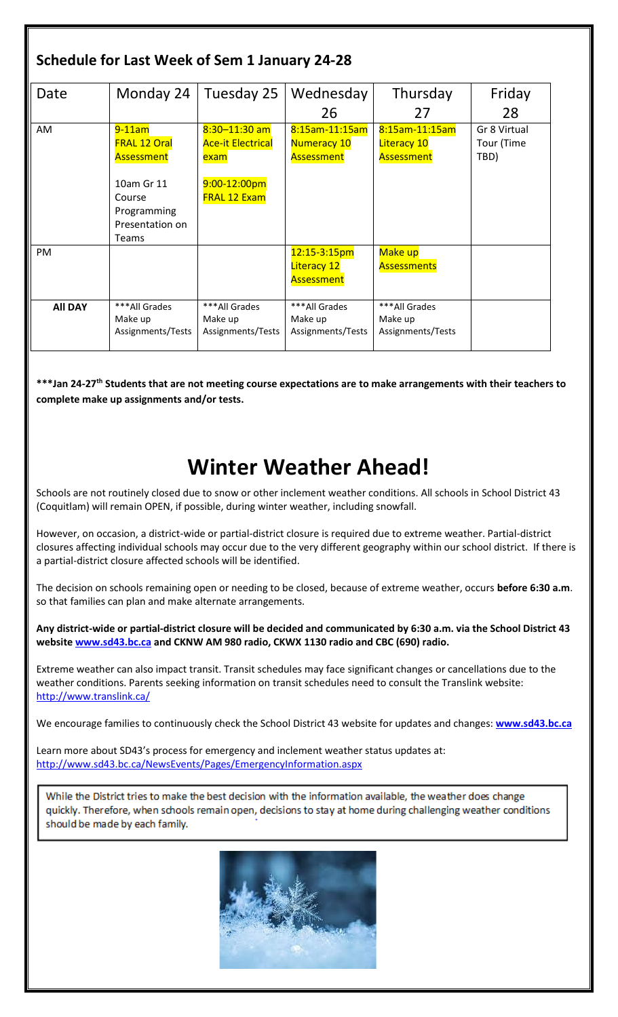| Schedule for Last Week of Sem 1 January 24-28 |                                                                                                                   |                                                                                                   |                                                           |                                                           |                                    |  |  |  |  |
|-----------------------------------------------|-------------------------------------------------------------------------------------------------------------------|---------------------------------------------------------------------------------------------------|-----------------------------------------------------------|-----------------------------------------------------------|------------------------------------|--|--|--|--|
| Date                                          | Monday 24                                                                                                         | Tuesday 25                                                                                        | Wednesday<br>26                                           | Thursday<br>27                                            | Friday<br>28                       |  |  |  |  |
| AM                                            | $9-11$ am<br><b>FRAL 12 Oral</b><br>Assessment<br>10am Gr 11<br>Course<br>Programming<br>Presentation on<br>Teams | $8:30 - 11:30$ am<br><b>Ace-it Electrical</b><br>exam<br>$9:00 - 12:00$ pm<br><b>FRAL 12 Exam</b> | 8:15am-11:15am<br>Numeracy 10<br>Assessment               | 8:15am-11:15am<br><b>Literacy 10</b><br><b>Assessment</b> | Gr 8 Virtual<br>Tour (Time<br>TBD) |  |  |  |  |
| <b>PM</b>                                     |                                                                                                                   |                                                                                                   | $12:15-3:15pm$<br><b>Literacy 12</b><br><b>Assessment</b> | Make up<br><b>Assessments</b>                             |                                    |  |  |  |  |
| <b>All DAY</b>                                | ***All Grades<br>Make up<br>Assignments/Tests                                                                     | ***All Grades<br>Make up<br>Assignments/Tests                                                     | ***All Grades<br>Make up<br>Assignments/Tests             | ***All Grades<br>Make up<br>Assignments/Tests             |                                    |  |  |  |  |

**\*\*\*Jan 24-27th Students that are not meeting course expectations are to make arrangements with their teachers to complete make up assignments and/or tests.**

# **Winter Weather Ahead!**

Schools are not routinely closed due to snow or other inclement weather conditions. All schools in School District 43 (Coquitlam) will remain OPEN, if possible, during winter weather, including snowfall.

However, on occasion, a district-wide or partial-district closure is required due to extreme weather. Partial-district closures affecting individual schools may occur due to the very different geography within our school district. If there is a partial-district closure affected schools will be identified.

The decision on schools remaining open or needing to be closed, because of extreme weather, occurs **before 6:30 a.m**. so that families can plan and make alternate arrangements.

**Any district-wide or partial-district closure will be decided and communicated by 6:30 a.m. via the School District 43 websit[e www.sd43.bc.ca](http://www.sd43.bc.ca/) and CKNW AM 980 radio, CKWX 1130 radio and CBC (690) radio.**

Extreme weather can also impact transit. Transit schedules may face significant changes or cancellations due to the weather conditions. Parents seeking information on transit schedules need to consult the Translink website: <http://www.translink.ca/>

We encourage families to continuously check the School District 43 website for updates and changes: **[www.sd43.bc.ca](http://www.sd43.bc.ca/)**

Learn more about SD43's process for emergency and inclement weather status updates at: <http://www.sd43.bc.ca/NewsEvents/Pages/EmergencyInformation.aspx>

While the District tries to make the best decision with the information available, the weather does change quickly. Therefore, when schools remain open, decisions to stay at home during challenging weather conditions should be made by each family.